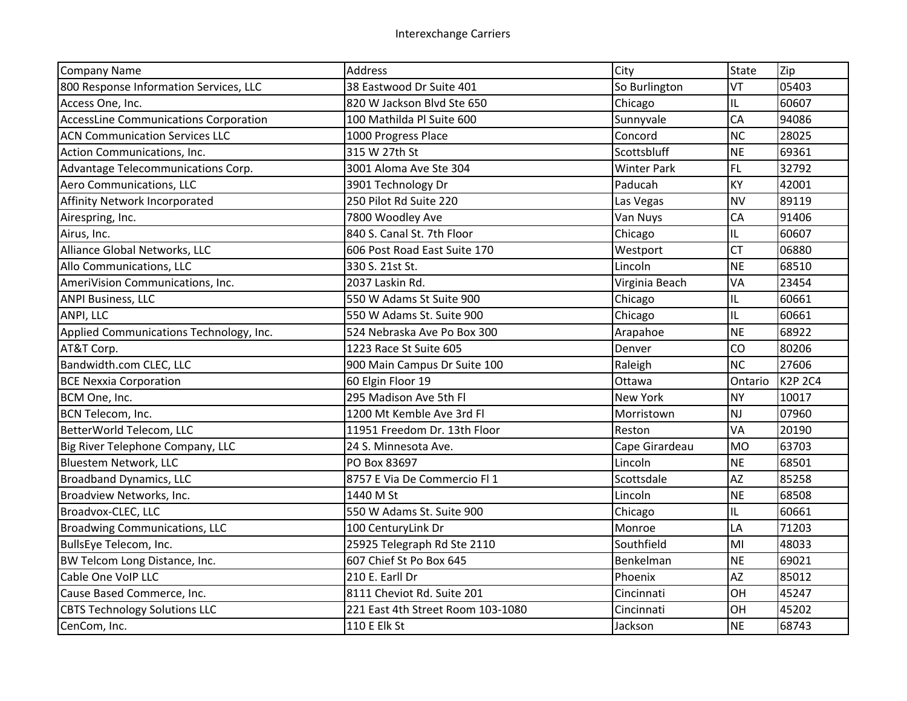| <b>Company Name</b>                          | <b>Address</b>                    | City               | <b>State</b> | Zip            |
|----------------------------------------------|-----------------------------------|--------------------|--------------|----------------|
| 800 Response Information Services, LLC       | 38 Eastwood Dr Suite 401          | So Burlington      | VT           | 05403          |
| Access One, Inc.                             | 820 W Jackson Blvd Ste 650        | Chicago            | IL           | 60607          |
| <b>AccessLine Communications Corporation</b> | 100 Mathilda Pl Suite 600         | Sunnyvale          | CA           | 94086          |
| <b>ACN Communication Services LLC</b>        | 1000 Progress Place               | Concord            | <b>NC</b>    | 28025          |
| Action Communications, Inc.                  | 315 W 27th St                     | Scottsbluff        | <b>NE</b>    | 69361          |
| Advantage Telecommunications Corp.           | 3001 Aloma Ave Ste 304            | <b>Winter Park</b> | <b>FL</b>    | 32792          |
| Aero Communications, LLC                     | 3901 Technology Dr                | Paducah            | KY           | 42001          |
| Affinity Network Incorporated                | 250 Pilot Rd Suite 220            | Las Vegas          | <b>NV</b>    | 89119          |
| Airespring, Inc.                             | 7800 Woodley Ave                  | Van Nuys           | <b>CA</b>    | 91406          |
| Airus, Inc.                                  | 840 S. Canal St. 7th Floor        | Chicago            | IL.          | 60607          |
| Alliance Global Networks, LLC                | 606 Post Road East Suite 170      | Westport           | <b>CT</b>    | 06880          |
| Allo Communications, LLC                     | 330 S. 21st St.                   | Lincoln            | <b>NE</b>    | 68510          |
| AmeriVision Communications, Inc.             | 2037 Laskin Rd.                   | Virginia Beach     | VA           | 23454          |
| <b>ANPI Business, LLC</b>                    | 550 W Adams St Suite 900          | Chicago            | IL           | 60661          |
| ANPI, LLC                                    | 550 W Adams St. Suite 900         | Chicago            | IL           | 60661          |
| Applied Communications Technology, Inc.      | 524 Nebraska Ave Po Box 300       | Arapahoe           | <b>NE</b>    | 68922          |
| AT&T Corp.                                   | 1223 Race St Suite 605            | Denver             | CO           | 80206          |
| Bandwidth.com CLEC, LLC                      | 900 Main Campus Dr Suite 100      | Raleigh            | <b>NC</b>    | 27606          |
| <b>BCE Nexxia Corporation</b>                | 60 Elgin Floor 19                 | Ottawa             | Ontario      | <b>K2P 2C4</b> |
| BCM One, Inc.                                | 295 Madison Ave 5th Fl            | New York           | <b>NY</b>    | 10017          |
| BCN Telecom, Inc.                            | 1200 Mt Kemble Ave 3rd Fl         | Morristown         | NJ           | 07960          |
| BetterWorld Telecom, LLC                     | 11951 Freedom Dr. 13th Floor      | Reston             | VA           | 20190          |
| Big River Telephone Company, LLC             | 24 S. Minnesota Ave.              | Cape Girardeau     | <b>MO</b>    | 63703          |
| <b>Bluestem Network, LLC</b>                 | PO Box 83697                      | Lincoln            | <b>NE</b>    | 68501          |
| <b>Broadband Dynamics, LLC</b>               | 8757 E Via De Commercio Fl 1      | Scottsdale         | <b>AZ</b>    | 85258          |
| Broadview Networks, Inc.                     | 1440 M St                         | Lincoln            | <b>NE</b>    | 68508          |
| Broadvox-CLEC, LLC                           | 550 W Adams St. Suite 900         | Chicago            | IL.          | 60661          |
| <b>Broadwing Communications, LLC</b>         | 100 CenturyLink Dr                | Monroe             | LA           | 71203          |
| BullsEye Telecom, Inc.                       | 25925 Telegraph Rd Ste 2110       | Southfield         | MI           | 48033          |
| BW Telcom Long Distance, Inc.                | 607 Chief St Po Box 645           | Benkelman          | <b>NE</b>    | 69021          |
| Cable One VoIP LLC                           | 210 E. Earll Dr                   | Phoenix            | <b>AZ</b>    | 85012          |
| Cause Based Commerce, Inc.                   | 8111 Cheviot Rd. Suite 201        | Cincinnati         | OH           | 45247          |
| <b>CBTS Technology Solutions LLC</b>         | 221 East 4th Street Room 103-1080 | Cincinnati         | OH           | 45202          |
| CenCom, Inc.                                 | 110 E Elk St                      | Jackson            | <b>NE</b>    | 68743          |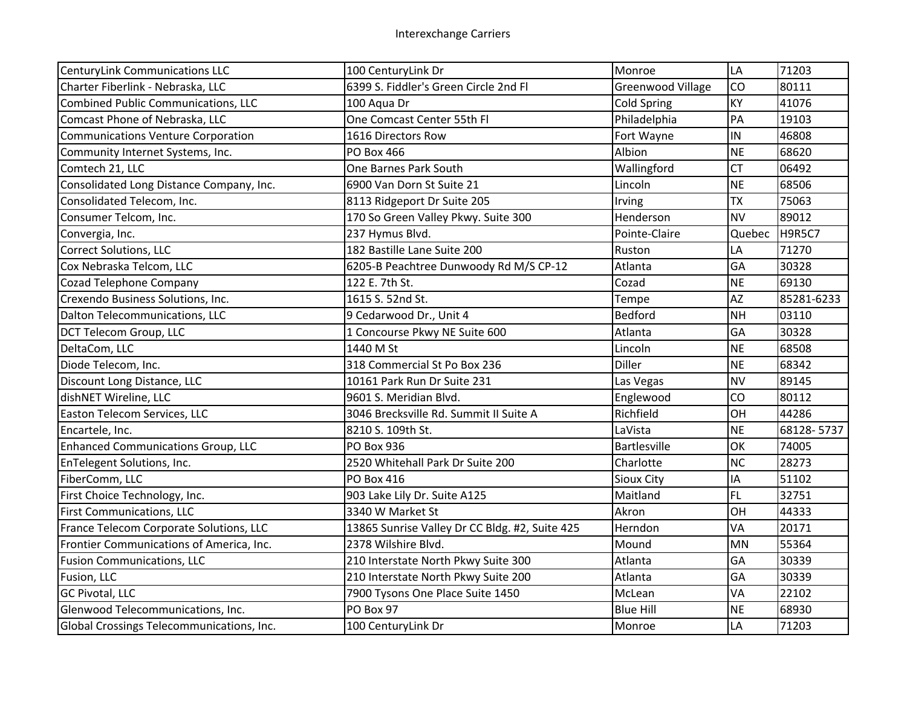| <b>CenturyLink Communications LLC</b>      | 100 CenturyLink Dr                             | Monroe                   | LA        | 71203         |
|--------------------------------------------|------------------------------------------------|--------------------------|-----------|---------------|
| Charter Fiberlink - Nebraska, LLC          | 6399 S. Fiddler's Green Circle 2nd Fl          | <b>Greenwood Village</b> | CO        | 80111         |
| <b>Combined Public Communications, LLC</b> | 100 Aqua Dr                                    | <b>Cold Spring</b>       | KY        | 41076         |
| Comcast Phone of Nebraska, LLC             | One Comcast Center 55th Fl                     | Philadelphia             | PA        | 19103         |
| Communications Venture Corporation         | 1616 Directors Row                             | Fort Wayne               | IN        | 46808         |
| Community Internet Systems, Inc.           | PO Box 466                                     | Albion                   | <b>NE</b> | 68620         |
| Comtech 21, LLC                            | One Barnes Park South                          | Wallingford              | <b>CT</b> | 06492         |
| Consolidated Long Distance Company, Inc.   | 6900 Van Dorn St Suite 21                      | Lincoln                  | <b>NE</b> | 68506         |
| Consolidated Telecom, Inc.                 | 8113 Ridgeport Dr Suite 205                    | Irving                   | <b>TX</b> | 75063         |
| Consumer Telcom, Inc.                      | 170 So Green Valley Pkwy. Suite 300            | Henderson                | <b>NV</b> | 89012         |
| Convergia, Inc.                            | 237 Hymus Blvd.                                | Pointe-Claire            | Quebec    | <b>H9R5C7</b> |
| <b>Correct Solutions, LLC</b>              | 182 Bastille Lane Suite 200                    | Ruston                   | LA        | 71270         |
| Cox Nebraska Telcom, LLC                   | 6205-B Peachtree Dunwoody Rd M/S CP-12         | Atlanta                  | GA        | 30328         |
| <b>Cozad Telephone Company</b>             | 122 E. 7th St.                                 | Cozad                    | <b>NE</b> | 69130         |
| Crexendo Business Solutions, Inc.          | 1615 S. 52nd St.                               | Tempe                    | AZ        | 85281-6233    |
| Dalton Telecommunications, LLC             | 9 Cedarwood Dr., Unit 4                        | Bedford                  | <b>NH</b> | 03110         |
| DCT Telecom Group, LLC                     | 1 Concourse Pkwy NE Suite 600                  | Atlanta                  | GA        | 30328         |
| DeltaCom, LLC                              | 1440 M St                                      | Lincoln                  | <b>NE</b> | 68508         |
| Diode Telecom, Inc.                        | 318 Commercial St Po Box 236                   | <b>Diller</b>            | <b>NE</b> | 68342         |
| Discount Long Distance, LLC                | 10161 Park Run Dr Suite 231                    | Las Vegas                | <b>NV</b> | 89145         |
| dishNET Wireline, LLC                      | 9601 S. Meridian Blvd.                         | Englewood                | CO        | 80112         |
| Easton Telecom Services, LLC               | 3046 Brecksville Rd. Summit II Suite A         | Richfield                | OH        | 44286         |
| Encartele, Inc.                            | 8210 S. 109th St.                              | LaVista                  | <b>NE</b> | 68128-5737    |
| <b>Enhanced Communications Group, LLC</b>  | PO Box 936                                     | <b>Bartlesville</b>      | OK        | 74005         |
| EnTelegent Solutions, Inc.                 | 2520 Whitehall Park Dr Suite 200               | Charlotte                | <b>NC</b> | 28273         |
| FiberComm, LLC                             | <b>PO Box 416</b>                              | <b>Sioux City</b>        | IA        | 51102         |
| First Choice Technology, Inc.              | 903 Lake Lily Dr. Suite A125                   | Maitland                 | FL.       | 32751         |
| <b>First Communications, LLC</b>           | 3340 W Market St                               | Akron                    | OH        | 44333         |
| France Telecom Corporate Solutions, LLC    | 13865 Sunrise Valley Dr CC Bldg. #2, Suite 425 | Herndon                  | VA        | 20171         |
| Frontier Communications of America, Inc.   | 2378 Wilshire Blvd.                            | Mound                    | <b>MN</b> | 55364         |
| <b>Fusion Communications, LLC</b>          | 210 Interstate North Pkwy Suite 300            | Atlanta                  | GA        | 30339         |
| Fusion, LLC                                | 210 Interstate North Pkwy Suite 200            | Atlanta                  | GA        | 30339         |
| <b>GC Pivotal, LLC</b>                     | 7900 Tysons One Place Suite 1450               | McLean                   | VA        | 22102         |
| Glenwood Telecommunications, Inc.          | PO Box 97                                      | <b>Blue Hill</b>         | <b>NE</b> | 68930         |
| Global Crossings Telecommunications, Inc.  | 100 CenturyLink Dr                             | Monroe                   | LA        | 71203         |
|                                            |                                                |                          |           |               |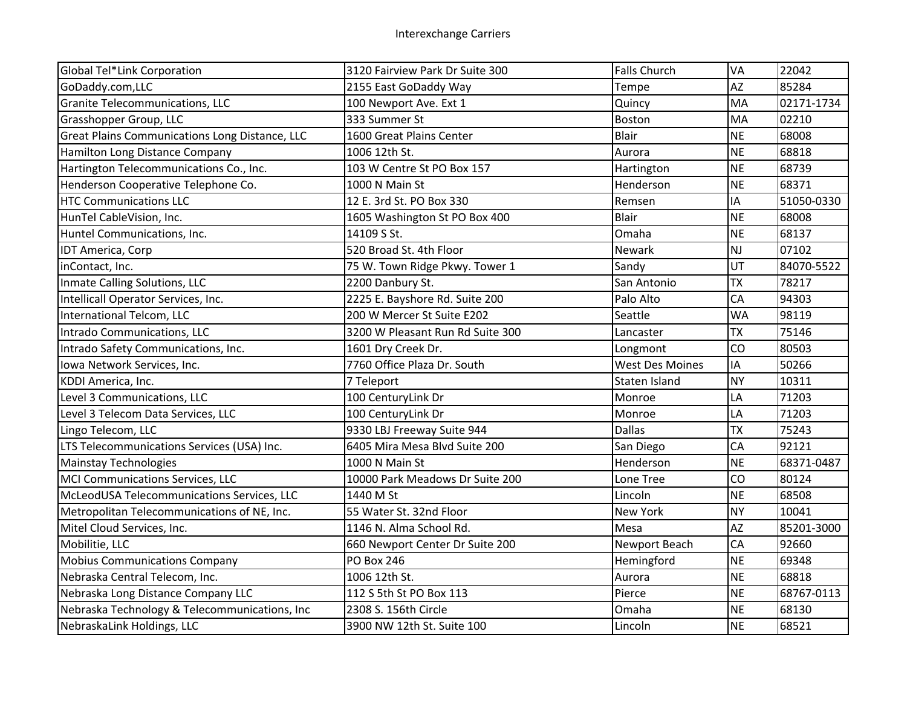| Global Tel*Link Corporation                    | 3120 Fairview Park Dr Suite 300  | <b>Falls Church</b>    | VA        | 22042      |
|------------------------------------------------|----------------------------------|------------------------|-----------|------------|
| GoDaddy.com,LLC                                | 2155 East GoDaddy Way            | Tempe                  | <b>AZ</b> | 85284      |
| Granite Telecommunications, LLC                | 100 Newport Ave. Ext 1           | Quincy                 | MA        | 02171-1734 |
| Grasshopper Group, LLC                         | 333 Summer St                    | Boston                 | MA        | 02210      |
| Great Plains Communications Long Distance, LLC | 1600 Great Plains Center         | <b>Blair</b>           | <b>NE</b> | 68008      |
| Hamilton Long Distance Company                 | 1006 12th St.                    | Aurora                 | <b>NE</b> | 68818      |
| Hartington Telecommunications Co., Inc.        | 103 W Centre St PO Box 157       | Hartington             | <b>NE</b> | 68739      |
| Henderson Cooperative Telephone Co.            | 1000 N Main St                   | Henderson              | <b>NE</b> | 68371      |
| <b>HTC Communications LLC</b>                  | 12 E. 3rd St. PO Box 330         | Remsen                 | IA        | 51050-0330 |
| HunTel CableVision, Inc.                       | 1605 Washington St PO Box 400    | <b>Blair</b>           | <b>NE</b> | 68008      |
| Huntel Communications, Inc.                    | 14109 S St.                      | Omaha                  | <b>NE</b> | 68137      |
| IDT America, Corp                              | 520 Broad St. 4th Floor          | Newark                 | <b>NJ</b> | 07102      |
| inContact, Inc.                                | 75 W. Town Ridge Pkwy. Tower 1   | Sandy                  | UT        | 84070-5522 |
| Inmate Calling Solutions, LLC                  | 2200 Danbury St.                 | San Antonio            | <b>TX</b> | 78217      |
| Intellicall Operator Services, Inc.            | 2225 E. Bayshore Rd. Suite 200   | Palo Alto              | CA        | 94303      |
| International Telcom, LLC                      | 200 W Mercer St Suite E202       | Seattle                | <b>WA</b> | 98119      |
| Intrado Communications, LLC                    | 3200 W Pleasant Run Rd Suite 300 | Lancaster              | <b>TX</b> | 75146      |
| Intrado Safety Communications, Inc.            | 1601 Dry Creek Dr.               | Longmont               | CO        | 80503      |
| Iowa Network Services, Inc.                    | 7760 Office Plaza Dr. South      | <b>West Des Moines</b> | IA        | 50266      |
| KDDI America, Inc.                             | 7 Teleport                       | Staten Island          | <b>NY</b> | 10311      |
| Level 3 Communications, LLC                    | 100 CenturyLink Dr               | Monroe                 | LA        | 71203      |
| Level 3 Telecom Data Services, LLC             | 100 CenturyLink Dr               | Monroe                 | LA        | 71203      |
| Lingo Telecom, LLC                             | 9330 LBJ Freeway Suite 944       | <b>Dallas</b>          | <b>TX</b> | 75243      |
| LTS Telecommunications Services (USA) Inc.     | 6405 Mira Mesa Blvd Suite 200    | San Diego              | CA        | 92121      |
| <b>Mainstay Technologies</b>                   | 1000 N Main St                   | Henderson              | <b>NE</b> | 68371-0487 |
| MCI Communications Services, LLC               | 10000 Park Meadows Dr Suite 200  | Lone Tree              | CO        | 80124      |
| McLeodUSA Telecommunications Services, LLC     | 1440 M St                        | Lincoln                | <b>NE</b> | 68508      |
| Metropolitan Telecommunications of NE, Inc.    | 55 Water St. 32nd Floor          | New York               | <b>NY</b> | 10041      |
| Mitel Cloud Services, Inc.                     | 1146 N. Alma School Rd.          | Mesa                   | <b>AZ</b> | 85201-3000 |
| Mobilitie, LLC                                 | 660 Newport Center Dr Suite 200  | Newport Beach          | CA        | 92660      |
| <b>Mobius Communications Company</b>           | <b>PO Box 246</b>                | Hemingford             | <b>NE</b> | 69348      |
| Nebraska Central Telecom, Inc.                 | 1006 12th St.                    | Aurora                 | <b>NE</b> | 68818      |
| Nebraska Long Distance Company LLC             | 112 S 5th St PO Box 113          | Pierce                 | <b>NE</b> | 68767-0113 |
| Nebraska Technology & Telecommunications, Inc  | 2308 S. 156th Circle             | Omaha                  | <b>NE</b> | 68130      |
| NebraskaLink Holdings, LLC                     | 3900 NW 12th St. Suite 100       | Lincoln                | <b>NE</b> | 68521      |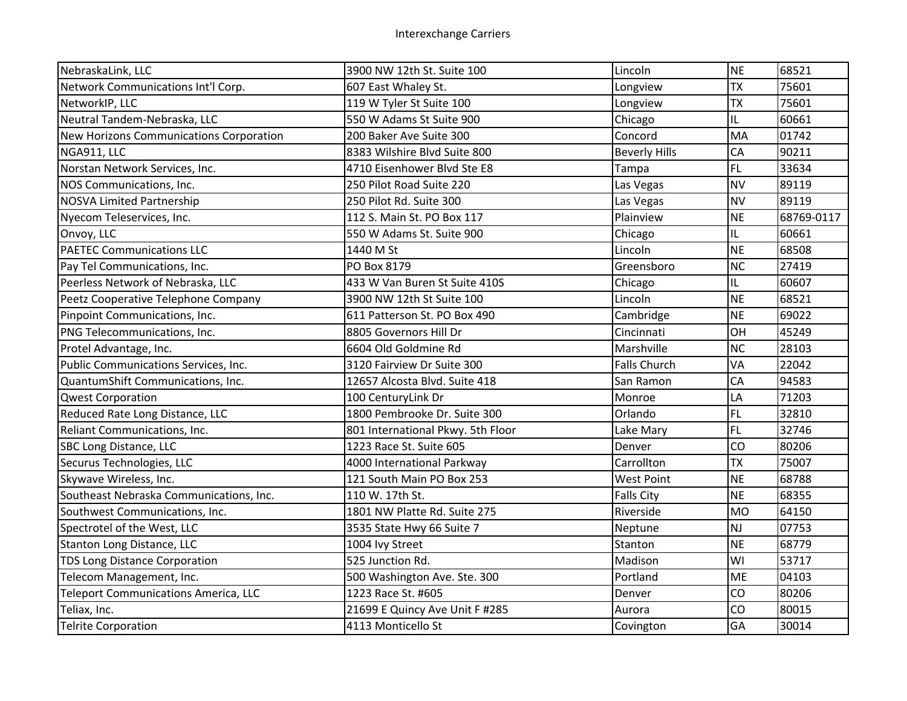| NebraskaLink, LLC                              | 3900 NW 12th St. Suite 100        | Lincoln              | <b>NE</b> | 68521      |
|------------------------------------------------|-----------------------------------|----------------------|-----------|------------|
| Network Communications Int'l Corp.             | 607 East Whaley St.               | Longview             | <b>TX</b> | 75601      |
| NetworkIP, LLC                                 | 119 W Tyler St Suite 100          | Longview             | <b>TX</b> | 75601      |
| Neutral Tandem-Nebraska, LLC                   | 550 W Adams St Suite 900          | Chicago              | IL.       | 60661      |
| <b>New Horizons Communications Corporation</b> | 200 Baker Ave Suite 300           | Concord              | MA        | 01742      |
| NGA911, LLC                                    | 8383 Wilshire Blvd Suite 800      | <b>Beverly Hills</b> | CA        | 90211      |
| Norstan Network Services, Inc.                 | 4710 Eisenhower Blvd Ste E8       | Tampa                | <b>FL</b> | 33634      |
| NOS Communications, Inc.                       | 250 Pilot Road Suite 220          | Las Vegas            | <b>NV</b> | 89119      |
| <b>NOSVA Limited Partnership</b>               | 250 Pilot Rd. Suite 300           | Las Vegas            | <b>NV</b> | 89119      |
| Nyecom Teleservices, Inc.                      | 112 S. Main St. PO Box 117        | Plainview            | <b>NE</b> | 68769-0117 |
| Onvoy, LLC                                     | 550 W Adams St. Suite 900         | Chicago              | IL.       | 60661      |
| <b>PAETEC Communications LLC</b>               | 1440 M St                         | Lincoln              | <b>NE</b> | 68508      |
| Pay Tel Communications, Inc.                   | PO Box 8179                       | Greensboro           | <b>NC</b> | 27419      |
| Peerless Network of Nebraska, LLC              | 433 W Van Buren St Suite 410S     | Chicago              | IL.       | 60607      |
| Peetz Cooperative Telephone Company            | 3900 NW 12th St Suite 100         | Lincoln              | <b>NE</b> | 68521      |
| Pinpoint Communications, Inc.                  | 611 Patterson St. PO Box 490      | Cambridge            | <b>NE</b> | 69022      |
| PNG Telecommunications, Inc.                   | 8805 Governors Hill Dr            | Cincinnati           | OH        | 45249      |
| Protel Advantage, Inc.                         | 6604 Old Goldmine Rd              | Marshville           | <b>NC</b> | 28103      |
| Public Communications Services, Inc.           | 3120 Fairview Dr Suite 300        | <b>Falls Church</b>  | VA        | 22042      |
| QuantumShift Communications, Inc.              | 12657 Alcosta Blvd. Suite 418     | San Ramon            | CA        | 94583      |
| Qwest Corporation                              | 100 CenturyLink Dr                | Monroe               | LA        | 71203      |
| Reduced Rate Long Distance, LLC                | 1800 Pembrooke Dr. Suite 300      | Orlando              | FL.       | 32810      |
| Reliant Communications, Inc.                   | 801 International Pkwy. 5th Floor | Lake Mary            | <b>FL</b> | 32746      |
| SBC Long Distance, LLC                         | 1223 Race St. Suite 605           | Denver               | CO        | 80206      |
| Securus Technologies, LLC                      | 4000 International Parkway        | Carrollton           | <b>TX</b> | 75007      |
| Skywave Wireless, Inc.                         | 121 South Main PO Box 253         | <b>West Point</b>    | <b>NE</b> | 68788      |
| Southeast Nebraska Communications, Inc.        | 110 W. 17th St.                   | <b>Falls City</b>    | <b>NE</b> | 68355      |
| Southwest Communications, Inc.                 | 1801 NW Platte Rd. Suite 275      | Riverside            | <b>MO</b> | 64150      |
| Spectrotel of the West, LLC                    | 3535 State Hwy 66 Suite 7         | Neptune              | NJ        | 07753      |
| Stanton Long Distance, LLC                     | 1004 Ivy Street                   | Stanton              | <b>NE</b> | 68779      |
| <b>TDS Long Distance Corporation</b>           | 525 Junction Rd.                  | Madison              | WI        | 53717      |
| Telecom Management, Inc.                       | 500 Washington Ave. Ste. 300      | Portland             | <b>ME</b> | 04103      |
| <b>Teleport Communications America, LLC</b>    | 1223 Race St. #605                | Denver               | CO        | 80206      |
| Teliax, Inc.                                   | 21699 E Quincy Ave Unit F #285    | Aurora               | CO        | 80015      |
| <b>Telrite Corporation</b>                     | 4113 Monticello St                | Covington            | GA        | 30014      |